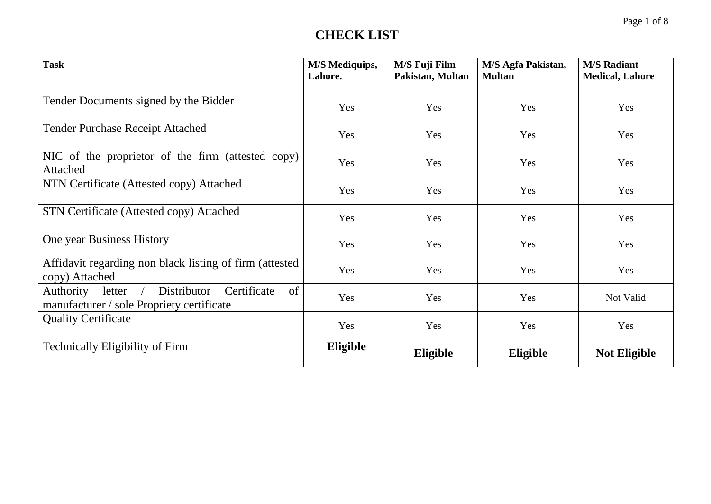| <b>Task</b>                                                                                                   | <b>M/S Mediquips,</b><br>Lahore. | M/S Fuji Film<br>Pakistan, Multan | M/S Agfa Pakistan,<br><b>Multan</b> | <b>M/S Radiant</b><br><b>Medical, Lahore</b> |
|---------------------------------------------------------------------------------------------------------------|----------------------------------|-----------------------------------|-------------------------------------|----------------------------------------------|
| Tender Documents signed by the Bidder                                                                         | Yes                              | Yes                               | Yes                                 | Yes                                          |
| <b>Tender Purchase Receipt Attached</b>                                                                       | Yes                              | Yes                               | Yes                                 | Yes                                          |
| NIC of the proprietor of the firm (attested copy)<br>Attached                                                 | Yes                              | Yes                               | Yes                                 | Yes                                          |
| NTN Certificate (Attested copy) Attached                                                                      | Yes                              | Yes                               | Yes                                 | Yes                                          |
| <b>STN Certificate (Attested copy) Attached</b>                                                               | Yes                              | Yes                               | Yes                                 | Yes                                          |
| One year Business History                                                                                     | Yes                              | Yes                               | Yes                                 | Yes                                          |
| Affidavit regarding non black listing of firm (attested<br>copy) Attached                                     | Yes                              | Yes                               | Yes                                 | Yes                                          |
| Distributor<br>of<br>letter /<br>Certificate<br><b>Authority</b><br>manufacturer / sole Propriety certificate | Yes                              | Yes                               | Yes                                 | Not Valid                                    |
| <b>Quality Certificate</b>                                                                                    | Yes                              | Yes                               | Yes                                 | Yes                                          |
| <b>Technically Eligibility of Firm</b>                                                                        | Eligible                         | Eligible                          | Eligible                            | <b>Not Eligible</b>                          |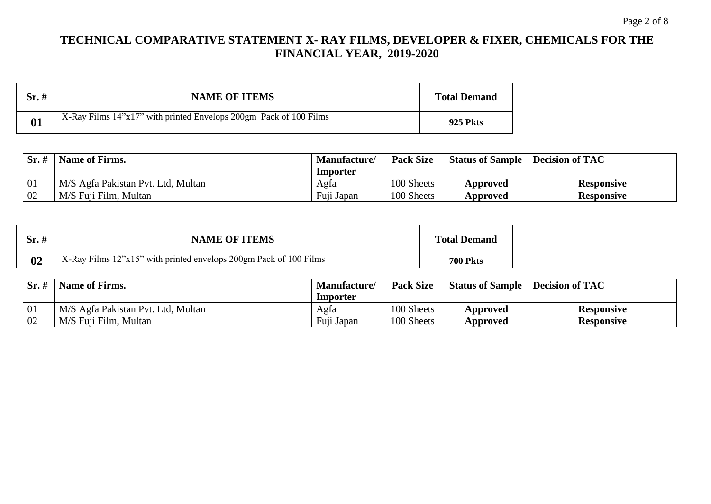## **TECHNICAL COMPARATIVE STATEMENT X- RAY FILMS, DEVELOPER & FIXER, CHEMICALS FOR THE FINANCIAL YEAR, 2019-2020**

| $Sr.$ # | <b>NAME OF ITEMS</b>                                              | <b>Total Demand</b> |
|---------|-------------------------------------------------------------------|---------------------|
| 01      | X-Ray Films 14"x17" with printed Envelops 200gm Pack of 100 Films | <b>925 Pkts</b>     |

| Sr.# | <b>Name of Firms.</b>              | <b>Manufacture</b> | <b>Pack Size</b> | <b>Status of Sample</b> | Decision of TAC   |
|------|------------------------------------|--------------------|------------------|-------------------------|-------------------|
|      |                                    | Importer           |                  |                         |                   |
| -01  | M/S Agfa Pakistan Pvt. Ltd, Multan | Agfa               | 100 Sheets       | Approved                | <b>Responsive</b> |
| 02   | M/S Fuji Film, Multan              | Fuji Japan         | 100 Sheets       | Approved                | <b>Responsive</b> |

| Sr. # | <b>NAME OF ITEMS</b>                                              | <b>Total Demand</b> |
|-------|-------------------------------------------------------------------|---------------------|
| 02    | X-Ray Films 12"x15" with printed envelops 200gm Pack of 100 Films | <b>700 Pkts</b>     |

| Sr.# | <b>Name of Firms.</b>              | Manufacture/ | <b>Pack Size</b> | <b>Status of Sample</b> | Decision of TAC   |
|------|------------------------------------|--------------|------------------|-------------------------|-------------------|
|      |                                    | Importer     |                  |                         |                   |
| -01  | M/S Agfa Pakistan Pvt. Ltd, Multan | Agfa         | 100 Sheets       | Approved                | <b>Responsive</b> |
| 02   | M/S Fuji Film, Multan              | Fuji Japan   | 100 Sheets       | Approved                | <b>Responsive</b> |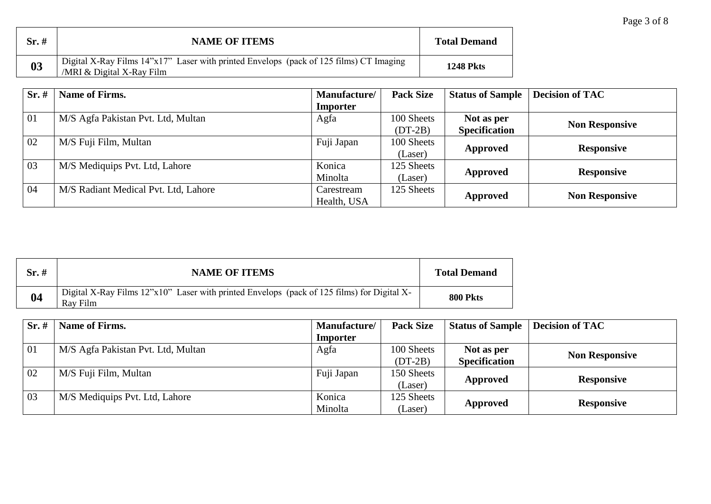| Sr.~# | <b>NAME OF ITEMS</b>                                                                                                  | <b>Total Demand</b> |
|-------|-----------------------------------------------------------------------------------------------------------------------|---------------------|
| 03    | Digital X-Ray Films 14"x17" Laser with printed Envelops (pack of 125 films) CT Imaging<br>$/MRI & Digital X-Ray Film$ | <b>1248 Pkts</b>    |

| Sr.# | <b>Name of Firms.</b>                | Manufacture/ | <b>Pack Size</b> | <b>Status of Sample</b> | <b>Decision of TAC</b> |
|------|--------------------------------------|--------------|------------------|-------------------------|------------------------|
|      |                                      | Importer     |                  |                         |                        |
| 01   | M/S Agfa Pakistan Pvt. Ltd, Multan   | Agfa         | 100 Sheets       | Not as per              |                        |
|      |                                      |              | $(DT-2B)$        | <b>Specification</b>    | <b>Non Responsive</b>  |
| 02   | M/S Fuji Film, Multan                | Fuji Japan   | 100 Sheets       |                         |                        |
|      |                                      |              | (Laser)          | Approved                | <b>Responsive</b>      |
| 03   | M/S Mediquips Pvt. Ltd, Lahore       | Konica       | 125 Sheets       |                         |                        |
|      |                                      | Minolta      | (Laser)          | Approved                | <b>Responsive</b>      |
| 04   | M/S Radiant Medical Pvt. Ltd, Lahore | Carestream   | 125 Sheets       |                         |                        |
|      |                                      | Health, USA  |                  | Approved                | <b>Non Responsive</b>  |

| Sr.# | <b>NAME OF ITEMS</b>                                                                                                                 | <b>Total Demand</b> |
|------|--------------------------------------------------------------------------------------------------------------------------------------|---------------------|
| 04   | Digital X-Ray Films $12^{\prime\prime}x10^{\prime\prime}$ Laser with printed Envelops (pack of 125 films) for Digital X-<br>Ray Film | <b>800 Pkts</b>     |

| Sr.~# | <b>Name of Firms.</b>              | Manufacture/ | <b>Pack Size</b> | <b>Status of Sample</b> | <b>Decision of TAC</b> |
|-------|------------------------------------|--------------|------------------|-------------------------|------------------------|
|       |                                    | Importer     |                  |                         |                        |
| 01    | M/S Agfa Pakistan Pvt. Ltd, Multan | Agfa         | 100 Sheets       | Not as per              |                        |
|       |                                    |              | $(DT-2B)$        | <b>Specification</b>    | <b>Non Responsive</b>  |
| 02    | M/S Fuji Film, Multan              | Fuji Japan   | 150 Sheets       |                         |                        |
|       |                                    |              | (Laser)          | Approved                | <b>Responsive</b>      |
| 03    | M/S Mediquips Pvt. Ltd, Lahore     | Konica       | 125 Sheets       |                         |                        |
|       |                                    | Minolta      | (Laser)          | Approved                | <b>Responsive</b>      |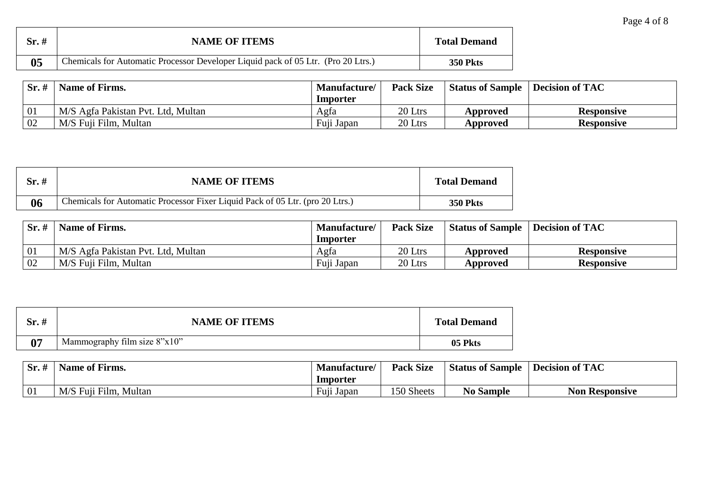| $Sr.$ #        | <b>NAME OF ITEMS</b>                                                              | <b>Total Demand</b> |
|----------------|-----------------------------------------------------------------------------------|---------------------|
| 0 <sub>5</sub> | Chemicals for Automatic Processor Developer Liquid pack of 05 Ltr. (Pro 20 Ltrs.) | <b>350 Pkts</b>     |

| $Sr. \#$ | Name of Firms.                     | Manufacture/ | <b>Pack Size</b> | <b>Status of Sample</b> | Decision of TAC   |
|----------|------------------------------------|--------------|------------------|-------------------------|-------------------|
|          |                                    | Importer     |                  |                         |                   |
|          | M/S Agfa Pakistan Pvt. Ltd, Multan | Agfa         | 20 Ltrs          | Approved                | <b>Responsive</b> |
| 02       | M/S Fuji Film, Multan              | Fuji Japan   | 20 Ltrs          | Approved                | <b>Responsive</b> |

| Sr. # | <b>NAME OF ITEMS</b>                                                          | <b>Total Demand</b> |
|-------|-------------------------------------------------------------------------------|---------------------|
| 06    | Chemicals for Automatic Processor Fixer Liquid Pack of 05 Ltr. (pro 20 Ltrs.) | <b>350 Pkts</b>     |

| Sr. ‡ | <b>Name of Firms.</b>              | <b>Manufacture</b> | <b>Pack Size</b> | <b>Status of Sample</b> | <b>Decision of TAC</b> |
|-------|------------------------------------|--------------------|------------------|-------------------------|------------------------|
|       |                                    | <b>Importer</b>    |                  |                         |                        |
|       | M/S Agfa Pakistan Pvt. Ltd, Multan | Agfa               | 20 Ltrs          | Approved                | <b>Responsive</b>      |
| 02    | M/S Fuji Film, Multan              | Fuji Japan         | 20 Ltrs          | Approved                | <b>Responsive</b>      |

| Sr.# | <b>NAME OF ITEMS</b>           | <b>Total Demand</b> |
|------|--------------------------------|---------------------|
| 07   | Mammography film size $8"x10"$ | 05 Pkts             |

| Sr.            | $\mathbf{v}$<br><b>Name of Firms.</b> | <b>Manufacture</b>                                                     | <b>Pack Size</b> | <b>Status of Sample</b> | <b>Decision of TAC</b> |
|----------------|---------------------------------------|------------------------------------------------------------------------|------------------|-------------------------|------------------------|
|                |                                       | Importer                                                               |                  |                         |                        |
| $\overline{0}$ | Fuji Film, Multan<br>$\bf M/C$<br>M/S | $\blacksquare$ $\blacksquare$ $\blacksquare$<br>Fu <sub>11</sub> Japan | 150 Sheets       | <b>No Sample</b>        | <b>Non Responsive</b>  |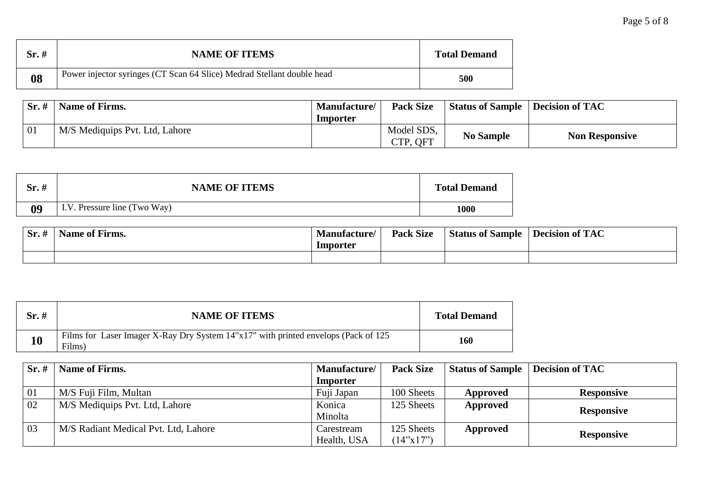| Sr. # | <b>NAME OF ITEMS</b>                                                   | <b>Total Demand</b> |
|-------|------------------------------------------------------------------------|---------------------|
| 08    | Power injector syringes (CT Scan 64 Slice) Medrad Stellant double head | 500                 |

|    | $Sr. \#$   Name of Firms.      | <b>Manufacture/</b> | <b>Pack Size</b>       | <b>Status of Sample   Decision of TAC</b> |                       |
|----|--------------------------------|---------------------|------------------------|-------------------------------------------|-----------------------|
|    |                                | Importer            |                        |                                           |                       |
| 01 | M/S Mediquips Pvt. Ltd, Lahore |                     | Model SDS,<br>CTP, QFT | <b>No Sample</b>                          | <b>Non Responsive</b> |

| Sr.# | <b>NAME OF ITEMS</b>         | <b>Total Demand</b> |
|------|------------------------------|---------------------|
| 09   | I.V. Pressure line (Two Way) | 000                 |

| $\sim$ $\sim$<br># וט | .<br>Trms.<br>lame<br>- OI | <b>Manufacture</b><br>Importer | <b>Pack Size</b> | <b>Status of Sample</b> | $\mathbf{f} \mathbf{T} \mathbf{A} \mathbf{C}$<br>- Decision of<br>.AU |
|-----------------------|----------------------------|--------------------------------|------------------|-------------------------|-----------------------------------------------------------------------|
|                       |                            |                                |                  |                         |                                                                       |

| Sr.# | <b>NAME OF ITEMS</b>                                                                         | <b>Total Demand</b> |
|------|----------------------------------------------------------------------------------------------|---------------------|
| 10   | Films for Laser Imager X-Ray Dry System 14"x17" with printed envelops (Pack of 125<br>Films) | 160                 |

| Sr.~# | Name of Firms.                       | Manufacture/ | <b>Pack Size</b> | <b>Status of Sample</b> | <b>Decision of TAC</b> |
|-------|--------------------------------------|--------------|------------------|-------------------------|------------------------|
|       |                                      | Importer     |                  |                         |                        |
| 01    | M/S Fuji Film, Multan                | Fuji Japan   | 100 Sheets       | Approved                | <b>Responsive</b>      |
| 02    | M/S Mediquips Pvt. Ltd, Lahore       | Konica       | 125 Sheets       | Approved                |                        |
|       |                                      | Minolta      |                  |                         | <b>Responsive</b>      |
| 03    | M/S Radiant Medical Pvt. Ltd, Lahore | Carestream   | 125 Sheets       | Approved                |                        |
|       |                                      | Health, USA  | (14"x17")        |                         | <b>Responsive</b>      |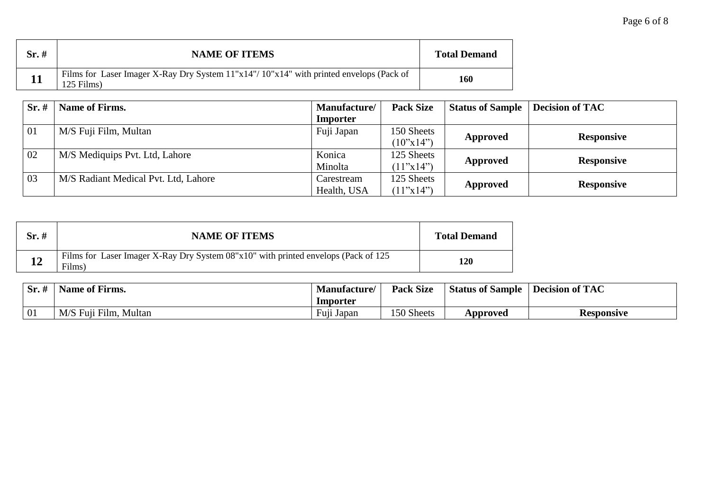| $Sr. \#$  | <b>NAME OF ITEMS</b>                                                                                 | <b>Total Demand</b> |
|-----------|------------------------------------------------------------------------------------------------------|---------------------|
| <b>11</b> | Films for Laser Imager X-Ray Dry System 11"x14"/10"x14" with printed envelops (Pack of<br>125 Films) | 160                 |

| Sr.# | <b>Name of Firms.</b>                | <b>Manufacture</b> | <b>Pack Size</b>          | <b>Status of Sample</b> | <b>Decision of TAC</b> |
|------|--------------------------------------|--------------------|---------------------------|-------------------------|------------------------|
|      |                                      | Importer           |                           |                         |                        |
| 01   | M/S Fuji Film, Multan                | Fuji Japan         | 150 Sheets                |                         |                        |
|      |                                      |                    | $(10^{\circ}x14^{\circ})$ | Approved                | <b>Responsive</b>      |
| 02   | M/S Mediquips Pvt. Ltd, Lahore       | Konica             | 125 Sheets                |                         |                        |
|      |                                      | Minolta            | (11"x14")                 | Approved                | <b>Responsive</b>      |
| 03   | M/S Radiant Medical Pvt. Ltd, Lahore | Carestream         | 125 Sheets                |                         |                        |
|      |                                      | Health, USA        | (11"x14")                 | Approved                | <b>Responsive</b>      |

| Sr.# | <b>NAME OF ITEMS</b>                                                                         | <b>Total Demand</b> |
|------|----------------------------------------------------------------------------------------------|---------------------|
| 12   | Films for Laser Imager X-Ray Dry System 08"x10" with printed envelops (Pack of 125<br>Films) | 120                 |

| $Sr.$ # | Name of Firms.               | <b>Manufacture</b>                                                     | <b>Pack Size</b> | <b>Status of Sample</b> | <b>Decision of TAC</b> |
|---------|------------------------------|------------------------------------------------------------------------|------------------|-------------------------|------------------------|
|         |                              | Importer                                                               |                  |                         |                        |
| 01      | M/S<br>. Film. Multan<br>Fun | $\blacksquare$ $\blacksquare$ $\blacksquare$<br>Fu <sub>11</sub> Japan | 150 Sheets       | Approved                | Responsive             |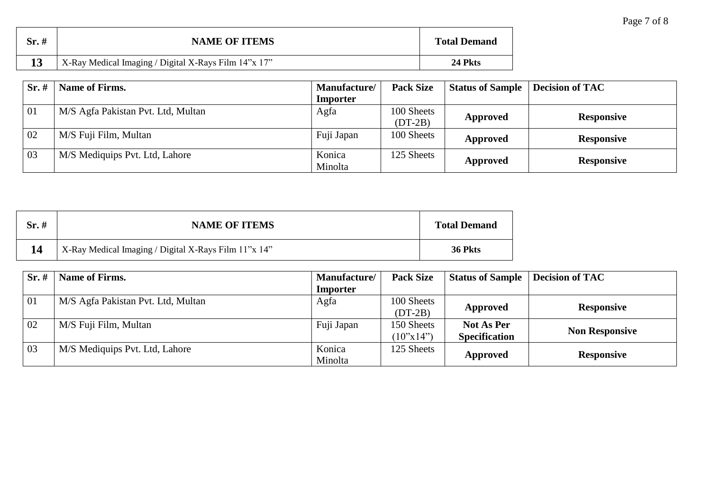| Page 7 of 8 |
|-------------|
|-------------|

| $Sr.$ # | <b>NAME OF ITEMS</b>                                 | <b>Total Demand</b> |
|---------|------------------------------------------------------|---------------------|
|         | X-Ray Medical Imaging / Digital X-Rays Film 14"x 17" | 24 Pkts             |

| Sr.# | <b>Name of Firms.</b>              | Manufacture/ | <b>Pack Size</b> | <b>Status of Sample</b> | <b>Decision of TAC</b> |
|------|------------------------------------|--------------|------------------|-------------------------|------------------------|
|      |                                    | Importer     |                  |                         |                        |
| 01   | M/S Agfa Pakistan Pvt. Ltd, Multan | Agfa         | 100 Sheets       |                         |                        |
|      |                                    |              | $(DT-2B)$        | Approved                | <b>Responsive</b>      |
| 02   | M/S Fuji Film, Multan              | Fuji Japan   | 100 Sheets       | Approved                | <b>Responsive</b>      |
|      |                                    |              |                  |                         |                        |
| 03   | M/S Mediquips Pvt. Ltd, Lahore     | Konica       | 125 Sheets       |                         |                        |
|      |                                    | Minolta      |                  | Approved                | <b>Responsive</b>      |

| $Sr. \#$ | <b>NAME OF ITEMS</b>                                 | <b>Total Demand</b> |
|----------|------------------------------------------------------|---------------------|
|          | X-Ray Medical Imaging / Digital X-Rays Film 11"x 14" | 36 Pkts             |

| Sr.# | Name of Firms.                     | Manufacture/ | <b>Pack Size</b>          | <b>Status of Sample</b> | <b>Decision of TAC</b> |
|------|------------------------------------|--------------|---------------------------|-------------------------|------------------------|
|      |                                    | Importer     |                           |                         |                        |
| 01   | M/S Agfa Pakistan Pvt. Ltd, Multan | Agfa         | 100 Sheets                |                         | <b>Responsive</b>      |
|      |                                    |              | $(DT-2B)$                 | Approved                |                        |
| 02   | M/S Fuji Film, Multan              | Fuji Japan   | 150 Sheets                | <b>Not As Per</b>       |                        |
|      |                                    |              | $(10^{\circ}x14^{\circ})$ | <b>Specification</b>    | <b>Non Responsive</b>  |
| 03   | M/S Mediquips Pvt. Ltd, Lahore     | Konica       | 125 Sheets                |                         |                        |
|      |                                    | Minolta      |                           | Approved                | <b>Responsive</b>      |